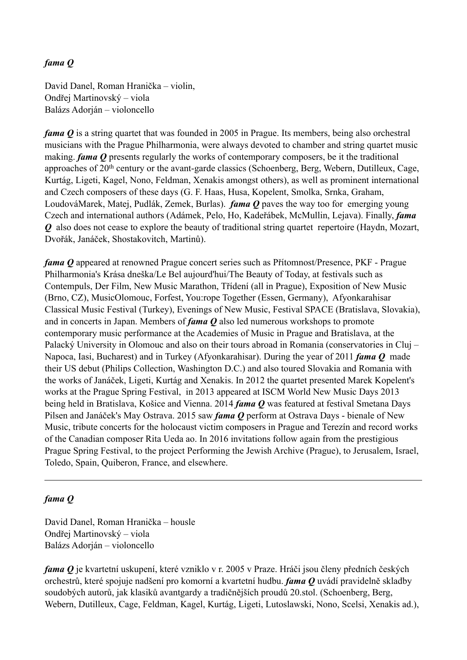## *fama Q*

David Danel, Roman Hranička – violin, Ondřej Martinovský – viola Balázs Adorján – violoncello

*fama O* is a string quartet that was founded in 2005 in Prague. Its members, being also orchestral musicians with the Prague Philharmonia, were always devoted to chamber and string quartet music making. *fama Q* presents regularly the works of contemporary composers, be it the traditional approaches of 20<sup>th</sup> century or the avant-garde classics (Schoenberg, Berg, Webern, Dutilleux, Cage, Kurtág, Ligeti, Kagel, Nono, Feldman, Xenakis amongst others), as well as prominent international and Czech composers of these days (G. F. Haas, Husa, Kopelent, Smolka, Srnka, Graham, LoudováMarek, Matej, Pudlák, Zemek, Burlas). *fama Q* paves the way too for emerging young Czech and international authors (Adámek, Pelo, Ho, Kadeřábek, McMullin, Lejava). Finally, *fama Q* also does not cease to explore the beauty of traditional string quartet repertoire (Haydn, Mozart, Dvořák, Janáček, Shostakovitch, Martinů).

*fama Q* appeared at renowned Prague concert series such as Přítomnost/Presence, PKF - Prague Philharmonia's Krása dneška/Le Bel aujourd'hui/The Beauty of Today, at festivals such as Contempuls, Der Film, New Music Marathon, Třídení (all in Prague), Exposition of New Music (Brno, CZ), MusicOlomouc, Forfest, You:rope Together (Essen, Germany), Afyonkarahisar Classical Music Festival (Turkey), Evenings of New Music, Festival SPACE (Bratislava, Slovakia), and in concerts in Japan. Members of *fama Q* also led numerous workshops to promote contemporary music performance at the Academies of Music in Prague and Bratislava, at the Palacký University in Olomouc and also on their tours abroad in Romania (conservatories in Cluj – Napoca, Iasi, Bucharest) and in Turkey (Afyonkarahisar). During the year of 2011 *fama Q* made their US debut (Philips Collection, Washington D.C.) and also toured Slovakia and Romania with the works of Janáček, Ligeti, Kurtág and Xenakis. In 2012 the quartet presented Marek Kopelent's works at the Prague Spring Festival, in 2013 appeared at ISCM World New Music Days 2013 being held in Bratislava, Košice and Vienna. 2014 *fama Q* was featured at festival Smetana Days Pilsen and Janáček's May Ostrava. 2015 saw *fama Q* perform at Ostrava Days - bienale of New Music, tribute concerts for the holocaust victim composers in Prague and Terezín and record works of the Canadian composer Rita Ueda ao. In 2016 invitations follow again from the prestigious Prague Spring Festival, to the project Performing the Jewish Archive (Prague), to Jerusalem, Israel, Toledo, Spain, Quiberon, France, and elsewhere.

## *fama Q*

David Danel, Roman Hranička – housle Ondřej Martinovský – viola Balázs Adorján – violoncello

*fama Q* je kvartetní uskupení, které vzniklo v r. 2005 v Praze. Hráči jsou členy předních českých orchestrů, které spojuje nadšení pro komorní a kvartetní hudbu. *fama Q* uvádí pravidelně skladby soudobých autorů, jak klasiků avantgardy a tradičnějších proudů 20.stol. (Schoenberg, Berg, Webern, Dutilleux, Cage, Feldman, Kagel, Kurtág, Ligeti, Lutoslawski, Nono, Scelsi, Xenakis ad.),